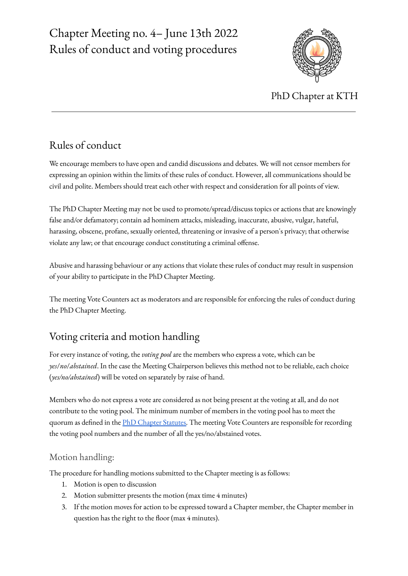# Chapter Meeting no. 4– June 13th 2022 Rules of conduct and voting procedures



PhD Chapter at KTH

### Rules of conduct

We encourage members to have open and candid discussions and debates. We will not censor members for expressing an opinion within the limits of these rules of conduct. However, all communications should be civil and polite. Members should treat each other with respect and consideration for all points of view.

The PhD Chapter Meeting may not be used to promote/spread/discuss topics or actions that are knowingly false and/or defamatory; contain ad hominem attacks, misleading, inaccurate, abusive, vulgar, hateful, harassing, obscene, profane, sexually oriented, threatening or invasive of a person's privacy; that otherwise violate any law; or that encourage conduct constituting a criminal offense.

Abusive and harassing behaviour or any actions that violate these rules of conduct may result in suspension of your ability to participate in the PhD Chapter Meeting.

The meeting Vote Counters act as moderators and are responsible for enforcing the rules of conduct during the PhD Chapter Meeting.

### Voting criteria and motion handling

For every instance of voting, the *voting pool* are the members who express a vote, which can be *yes*/*no*/*abstained*. In the case the Meeting Chairperson believes this method not to be reliable, each choice (*yes/no/abstained*) will be voted on separately by raise of hand.

Members who do not express a vote are considered as not being present at the voting at all, and do not contribute to the voting pool. The minimum number of members in the voting pool has to meet the quorum as defined in the PhD [Chapter](https://www.dr.kth.se/statutes/) Statutes. The meeting Vote Counters are responsible for recording the voting pool numbers and the number of all the yes/no/abstained votes.

### Motion handling:

The procedure for handling motions submitted to the Chapter meeting is as follows:

- 1. Motion is open to discussion
- 2. Motion submitter presents the motion (max time 4 minutes)
- 3. If the motion moves for action to be expressed toward a Chapter member, the Chapter member in question has the right to the floor (max 4 minutes).